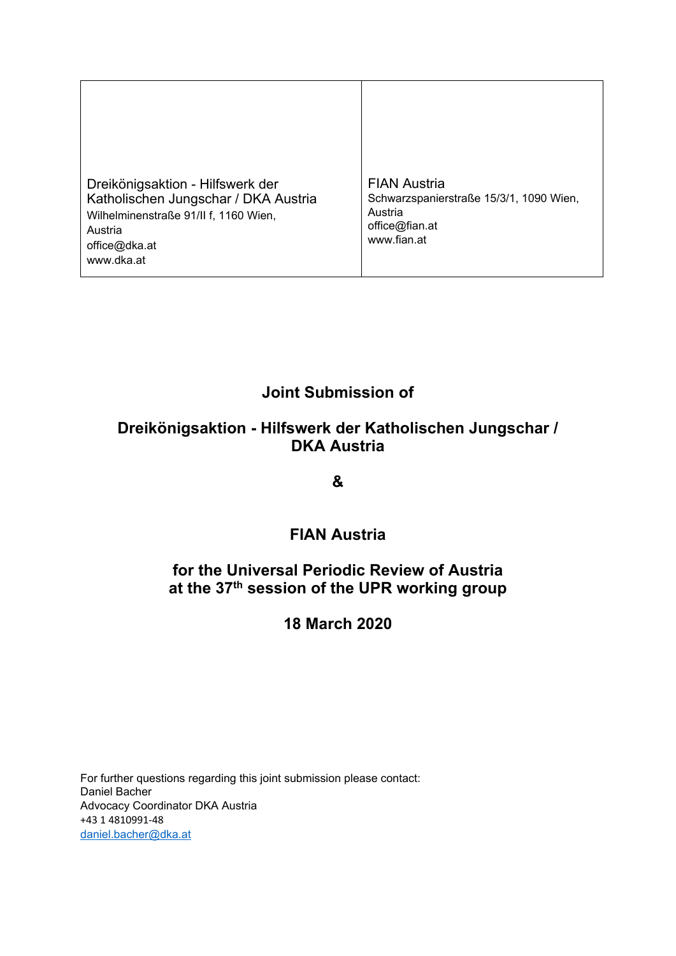Dreikönigsaktion - Hilfswerk der Katholischen Jungschar / DKA Austria Wilhelminenstraße 91/II f, 1160 Wien, Austria office@dka.at www.dka.at FIAN Austria Schwarzspanierstraße 15/3/1, 1090 Wien, Austria office@fian.at www.fian.at

# **Joint Submission of**

## **Dreikönigsaktion - Hilfswerk der Katholischen Jungschar / DKA Austria**

**&**

## **FIAN Austria**

## **for the Universal Periodic Review of Austria at the 37th session of the UPR working group**

## **18 March 2020**

For further questions regarding this joint submission please contact: Daniel Bacher Advocacy Coordinator DKA Austria +43 1 [4810991-48](tel:+43%201%204810991-48) [daniel.bacher@dka.at](mailto:daniel.bacher@dka.at)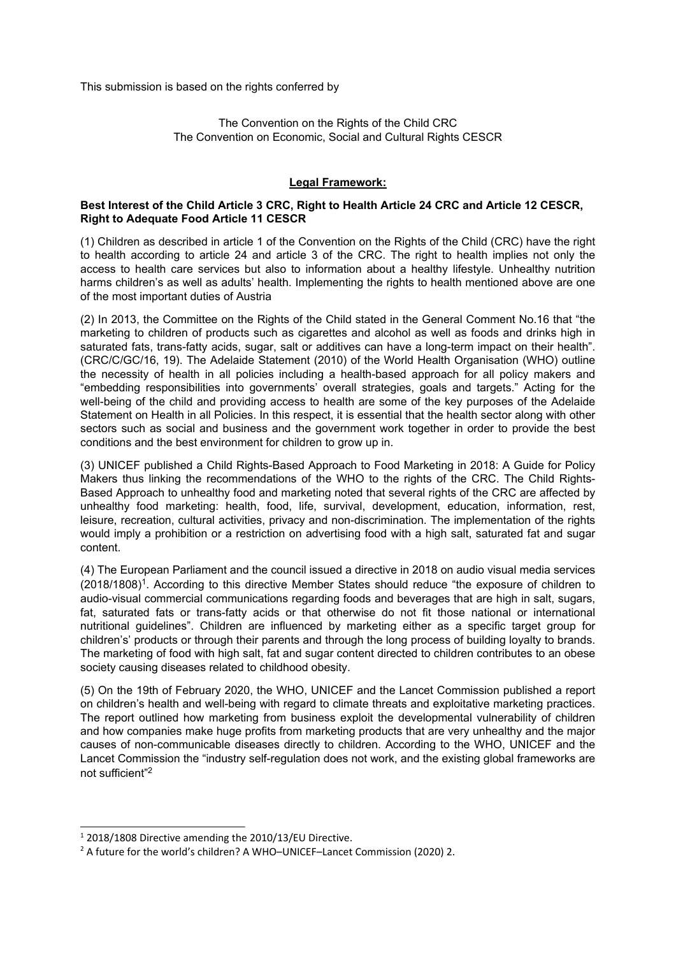This submission is based on the rights conferred by

The Convention on the Rights of the Child CRC The Convention on Economic, Social and Cultural Rights CESCR

#### **Legal Framework:**

#### **Best Interest of the Child Article 3 CRC, Right to Health Article 24 CRC and Article 12 CESCR, Right to Adequate Food Article 11 CESCR**

(1) Children as described in article 1 of the Convention on the Rights of the Child (CRC) have the right to health according to article 24 and article 3 of the CRC. The right to health implies not only the access to health care services but also to information about <sup>a</sup> healthy lifestyle. Unhealthy nutrition harms children'<sup>s</sup> as well as adults' health. Implementing the rights to health mentioned above are one of the most important duties of Austria

(2) In 2013, the Committee on the Rights of the Child stated in the General Comment No.16 that "the marketing to children of products such as cigarettes and alcohol as well as foods and drinks high in saturated fats, trans-fatty acids, sugar, salt or additives can have <sup>a</sup> long-term impact on their health". (CRC/C/GC/16, 19). The Adelaide Statement (2010) of the World Health Organisation (WHO) outline the necessity of health in all policies including <sup>a</sup> health-based approach for all policy makers and "embedding responsibilities into governments' overall strategies, goals and targets." Acting for the well-being of the child and providing access to health are some of the key purposes of the Adelaide Statement on Health in all Policies. In this respect, it is essential that the health sector along with other sectors such as social and business and the government work together in order to provide the best conditions and the best environment for children to grow up in.

(3) UNICEF published <sup>a</sup> Child Rights-Based Approach to Food Marketing in 2018: A Guide for Policy Makers thus linking the recommendations of the WHO to the rights of the CRC. The Child Rights-Based Approach to unhealthy food and marketing noted that several rights of the CRC are affected by unhealthy food marketing: health, food, life, survival, development, education, information, rest, leisure, recreation, cultural activities, privacy and non-discrimination. The implementation of the rights would imply <sup>a</sup> prohibition or <sup>a</sup> restriction on advertising food with <sup>a</sup> high salt, saturated fat and sugar content.

(4) The European Parliament and the council issued <sup>a</sup> directive in 2018 on audio visual media services (2018/1808)<sup>1</sup>. According to this directive Member States should reduce "the exposure of children to audio-visual commercial communications regarding foods and beverages that are high in salt, sugars, fat, saturated fats or trans-fatty acids or that otherwise do not fit those national or international nutritional guidelines". Children are influenced by marketing either as <sup>a</sup> specific target group for children's' products or through their parents and through the long process of building loyalty to brands. The marketing of food with high salt, fat and sugar content directed to children contributes to an obese society causing diseases related to childhood obesity.

(5) On the 19th of February 2020, the WHO, UNICEF and the Lancet Commission published <sup>a</sup> report on children'<sup>s</sup> health and well-being with regard to climate threats and exploitative marketing practices. The report outlined how marketing from business exploit the developmental vulnerability of children and how companies make huge profits from marketing products that are very unhealthy and the major causes of non-communicable diseases directly to children. According to the WHO, UNICEF and the Lancet Commission the "industry self-regulation does not work, and the existing global frameworks are not sufficient"<sup>2</sup>

<sup>&</sup>lt;sup>1</sup> 2018/1808 Directive amending the 2010/13/EU Directive.

<sup>&</sup>lt;sup>2</sup> A future for the world's children? A WHO–UNICEF–Lancet Commission (2020) 2.